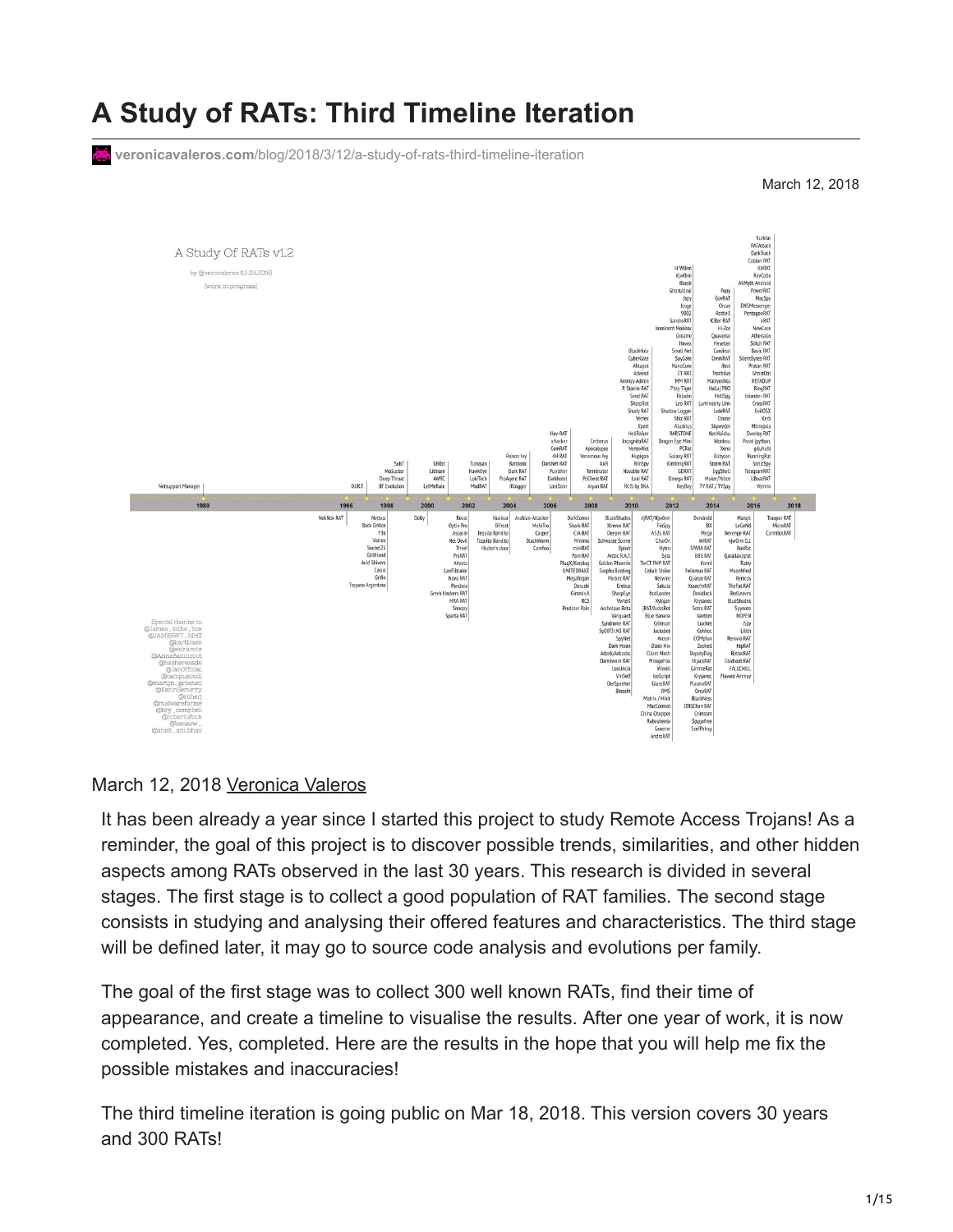# **A Study of RATs: Third Timeline Iteration**

**veronicavaleros.com**[/blog/2018/3/12/a-study-of-rats-third-timeline-iteration](https://www.veronicavaleros.com/blog/2018/3/12/a-study-of-rats-third-timeline-iteration)

March 12, 2018



#### March 12, 2018 [Veronica Valeros](http://10.10.0.46/blog?author=59f33e825ce35028f2bc94d4)

It has been already a year since I started this project to study Remote Access Trojans! As a reminder, the goal of this project is to discover possible trends, similarities, and other hidden aspects among RATs observed in the last 30 years. This research is divided in several stages. The first stage is to collect a good population of RAT families. The second stage consists in studying and analysing their offered features and characteristics. The third stage will be defined later, it may go to source code analysis and evolutions per family.

The goal of the first stage was to collect 300 well known RATs, find their time of appearance, and create a timeline to visualise the results. After one year of work, it is now completed. Yes, completed. Here are the results in the hope that you will help me fix the possible mistakes and inaccuracies!

The third timeline iteration is going public on Mar 18, 2018. This version covers 30 years and 300 RATs!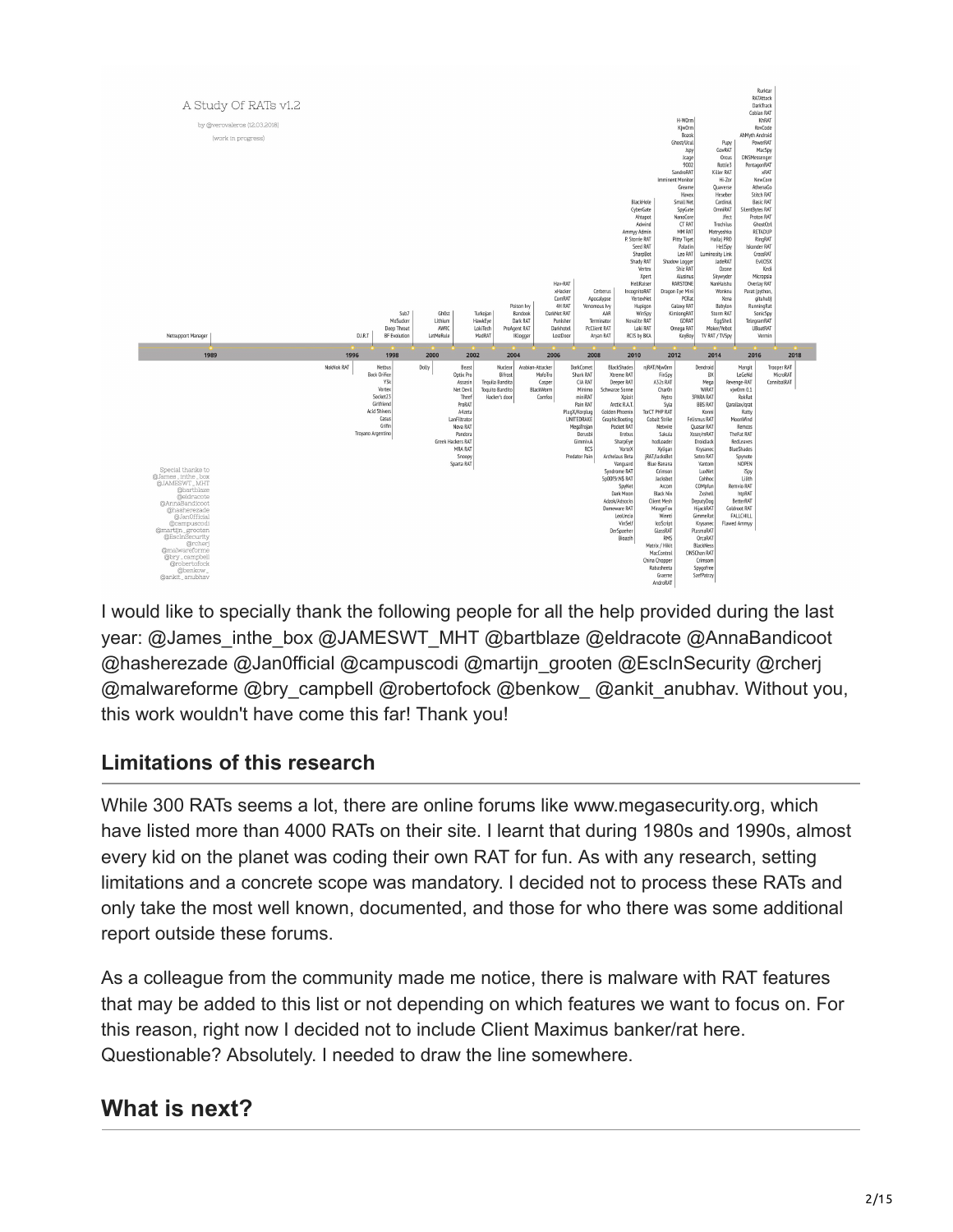

I would like to specially thank the following people for all the help provided during the last year: @James\_inthe\_box @JAMESWT\_MHT @bartblaze @eldracote @AnnaBandicoot @hasherezade @Jan0fficial @campuscodi @martijn\_grooten @EscInSecurity @rcherj @malwareforme @bry\_campbell @robertofock @benkow\_ @ankit\_anubhav. Without you, this work wouldn't have come this far! Thank you!

### **Limitations of this research**

While 300 RATs seems a lot, there are online forums like www.megasecurity.org, which have listed more than 4000 RATs on their site. I learnt that during 1980s and 1990s, almost every kid on the planet was coding their own RAT for fun. As with any research, setting limitations and a concrete scope was mandatory. I decided not to process these RATs and only take the most well known, documented, and those for who there was some additional report outside these forums.

As a colleague from the community made me notice, there is malware with RAT features that may be added to this list or not depending on which features we want to focus on. For this reason, right now I decided not to include Client Maximus banker/rat here. Questionable? Absolutely. I needed to draw the line somewhere.

# **What is next?**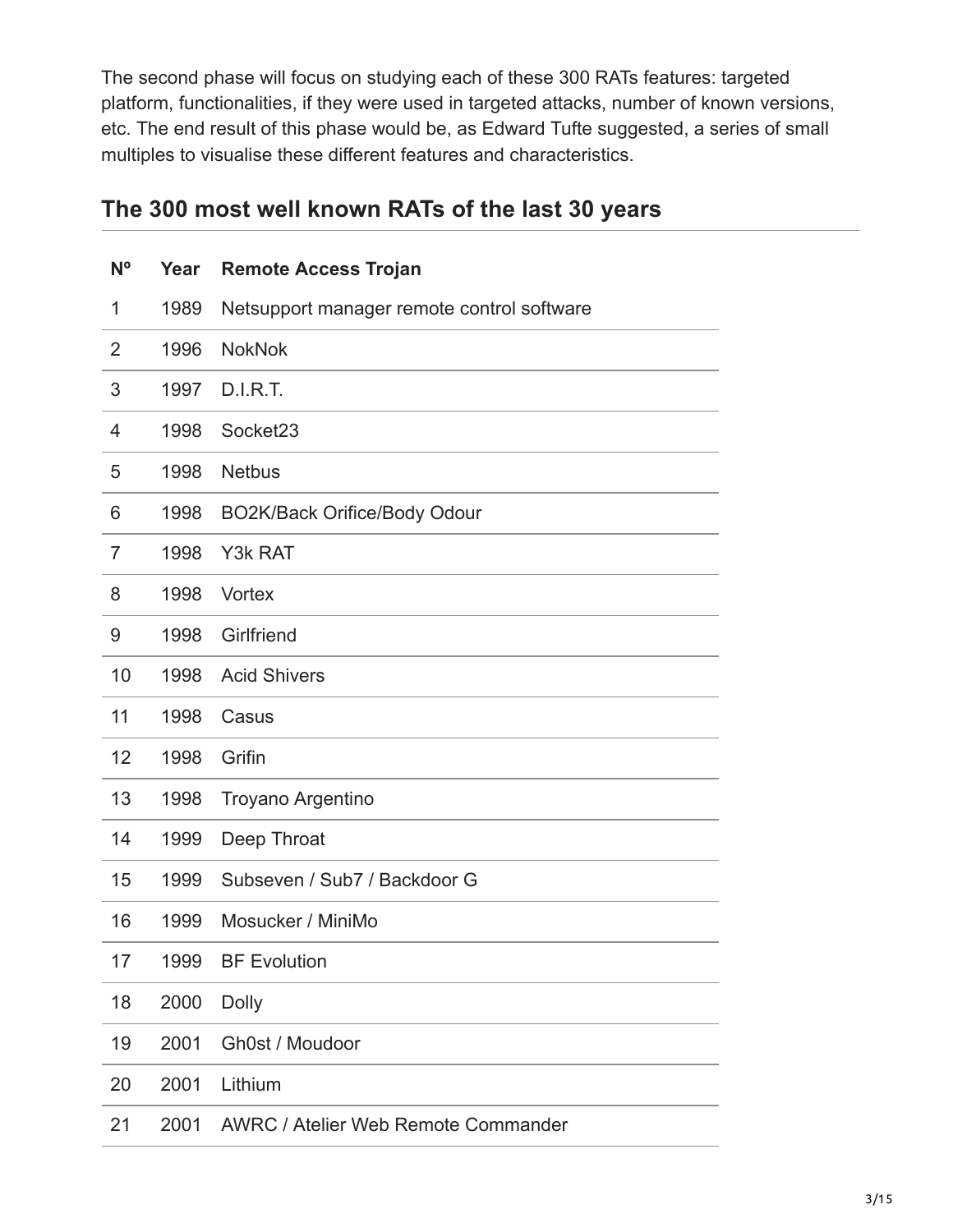The second phase will focus on studying each of these 300 RATs features: targeted platform, functionalities, if they were used in targeted attacks, number of known versions, etc. The end result of this phase would be, as Edward Tufte suggested, a series of small multiples to visualise these different features and characteristics.

# **The 300 most well known RATs of the last 30 years**

| N <sup>o</sup> | Year | <b>Remote Access Trojan</b>                |
|----------------|------|--------------------------------------------|
| 1              | 1989 | Netsupport manager remote control software |
| 2              | 1996 | <b>NokNok</b>                              |
| 3              | 1997 | <b>D.I.R.T.</b>                            |
| 4              | 1998 | Socket23                                   |
| 5              | 1998 | <b>Netbus</b>                              |
| 6              | 1998 | BO2K/Back Orifice/Body Odour               |
| 7              | 1998 | Y3k RAT                                    |
| 8              | 1998 | Vortex                                     |
| 9              | 1998 | Girlfriend                                 |
| 10             | 1998 | <b>Acid Shivers</b>                        |
| 11             | 1998 | Casus                                      |
| 12             | 1998 | Grifin                                     |
| 13             | 1998 | Troyano Argentino                          |
| 14             | 1999 | Deep Throat                                |
| 15             | 1999 | Subseven / Sub7 / Backdoor G               |
| 16             | 1999 | Mosucker / MiniMo                          |
| 17             | 1999 | <b>BF Evolution</b>                        |
| 18             | 2000 | <b>Dolly</b>                               |
| 19             | 2001 | Gh0st / Moudoor                            |
| 20             | 2001 | Lithium                                    |
| 21             | 2001 | <b>AWRC / Atelier Web Remote Commander</b> |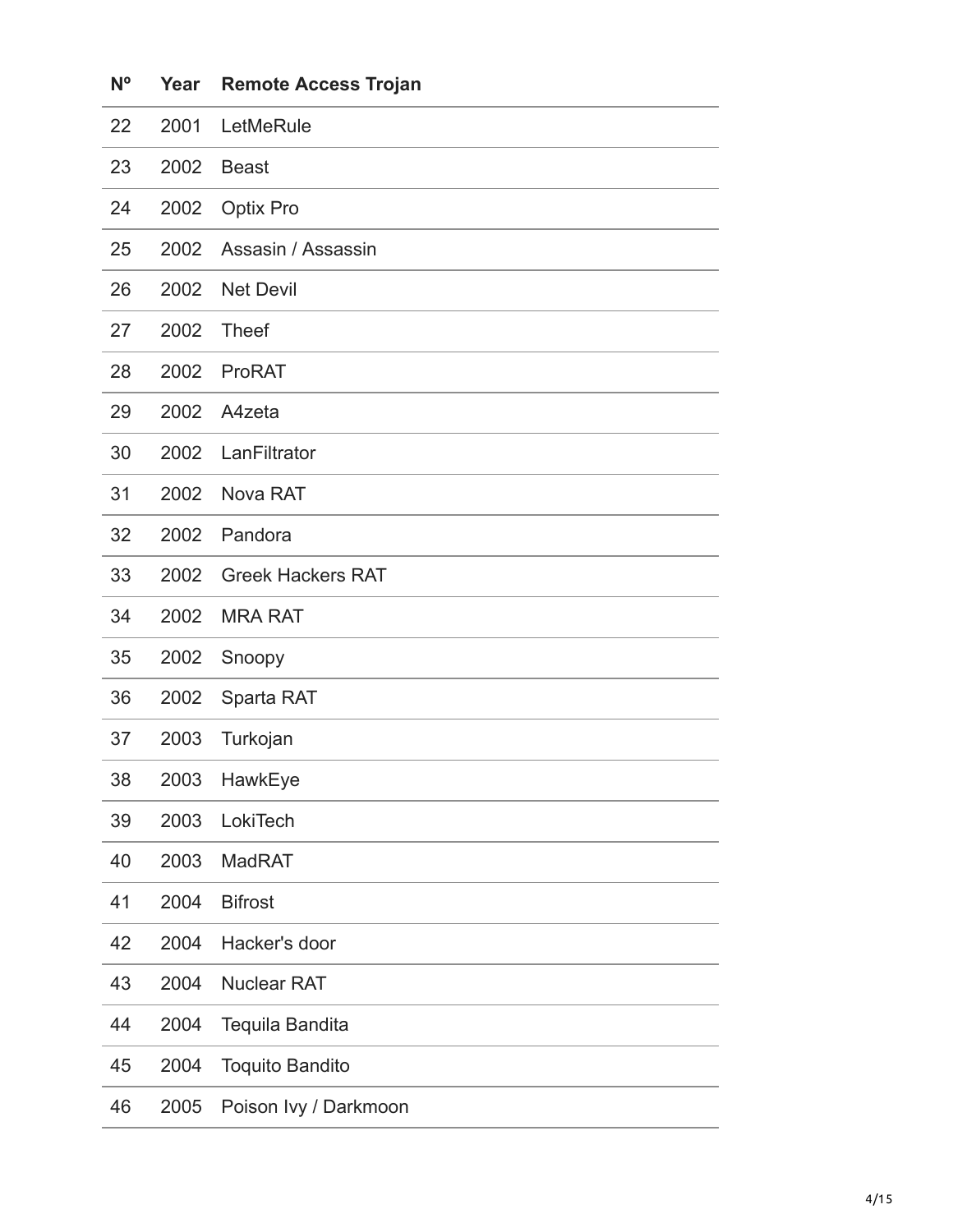| N <sup>o</sup> | Year | <b>Remote Access Trojan</b> |
|----------------|------|-----------------------------|
| 22             | 2001 | LetMeRule                   |
| 23             | 2002 | <b>Beast</b>                |
| 24             | 2002 | <b>Optix Pro</b>            |
| 25             | 2002 | Assasin / Assassin          |
| 26             | 2002 | <b>Net Devil</b>            |
| 27             | 2002 | <b>Theef</b>                |
| 28             | 2002 | <b>ProRAT</b>               |
| 29             | 2002 | A4zeta                      |
| 30             | 2002 | LanFiltrator                |
| 31             | 2002 | Nova RAT                    |
| 32             | 2002 | Pandora                     |
| 33             | 2002 | <b>Greek Hackers RAT</b>    |
| 34             | 2002 | <b>MRA RAT</b>              |
| 35             | 2002 | Snoopy                      |
| 36             | 2002 | Sparta RAT                  |
| 37             | 2003 | Turkojan                    |
| 38             | 2003 | HawkEye                     |
| 39             | 2003 | LokiTech                    |
| 40             | 2003 | <b>MadRAT</b>               |
| 41             | 2004 | <b>Bifrost</b>              |
| 42             | 2004 | Hacker's door               |
| 43             | 2004 | <b>Nuclear RAT</b>          |
| 44             | 2004 | Tequila Bandita             |
| 45             | 2004 | <b>Toquito Bandito</b>      |
| 46             | 2005 | Poison Ivy / Darkmoon       |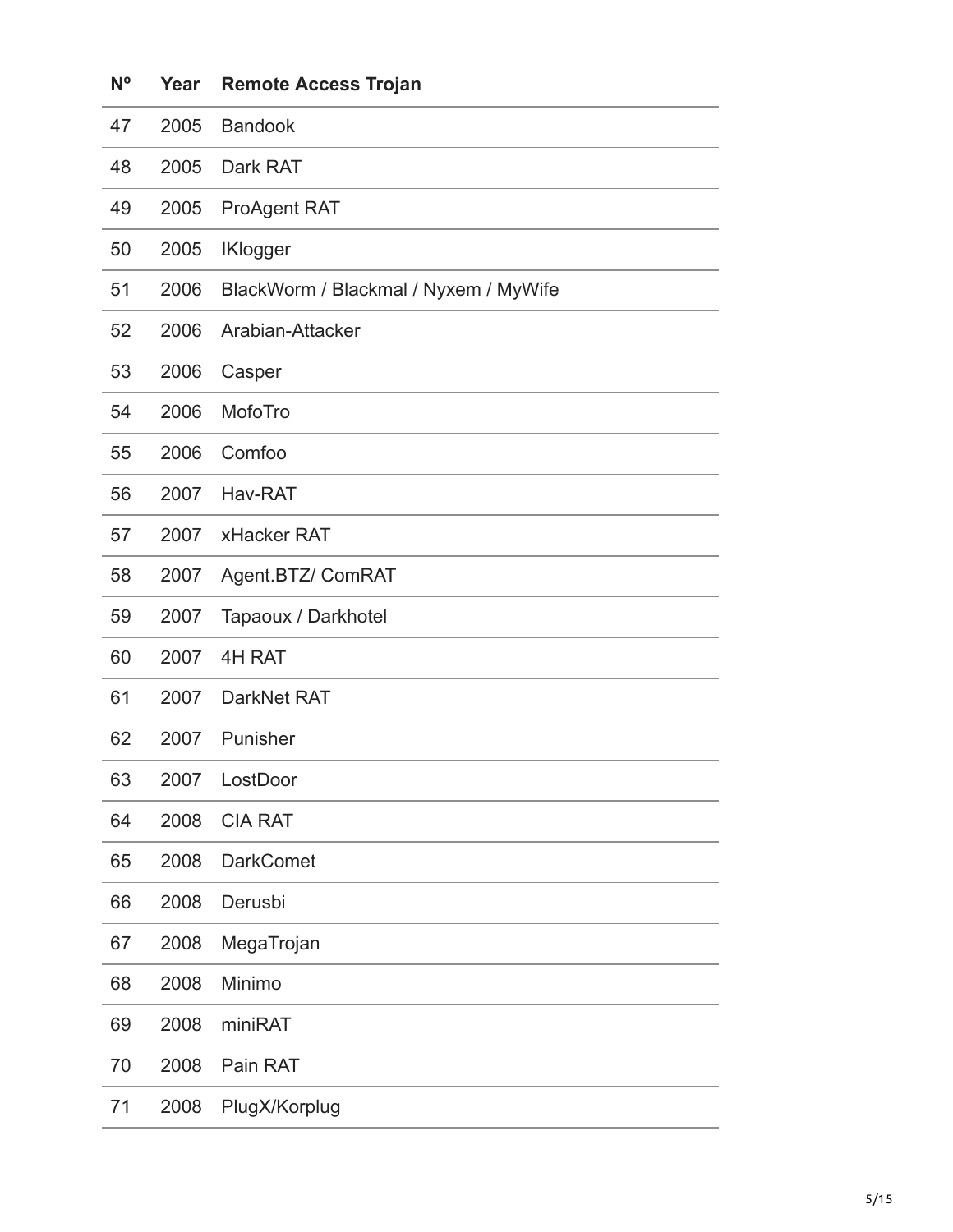| $N^{\circ}$ | Year | <b>Remote Access Trojan</b>           |
|-------------|------|---------------------------------------|
| 47          | 2005 | <b>Bandook</b>                        |
| 48          | 2005 | Dark RAT                              |
| 49          | 2005 | <b>ProAgent RAT</b>                   |
| 50          | 2005 | <b>IKlogger</b>                       |
| 51          | 2006 | BlackWorm / Blackmal / Nyxem / MyWife |
| 52          | 2006 | Arabian-Attacker                      |
| 53          | 2006 | Casper                                |
| 54          | 2006 | MofoTro                               |
| 55          | 2006 | Comfoo                                |
| 56          | 2007 | Hav-RAT                               |
| 57          | 2007 | xHacker RAT                           |
| 58          | 2007 | Agent.BTZ/ ComRAT                     |
| 59          | 2007 | Tapaoux / Darkhotel                   |
| 60          | 2007 | 4H RAT                                |
| 61          | 2007 | DarkNet RAT                           |
| 62          | 2007 | Punisher                              |
| 63          | 2007 | LostDoor                              |
| 64          | 2008 | <b>CIA RAT</b>                        |
| 65          | 2008 | <b>DarkComet</b>                      |
| 66          | 2008 | Derusbi                               |
| 67          | 2008 | MegaTrojan                            |
| 68          | 2008 | Minimo                                |
| 69          | 2008 | miniRAT                               |
| 70          | 2008 | Pain RAT                              |
| 71          | 2008 | PlugX/Korplug                         |
|             |      |                                       |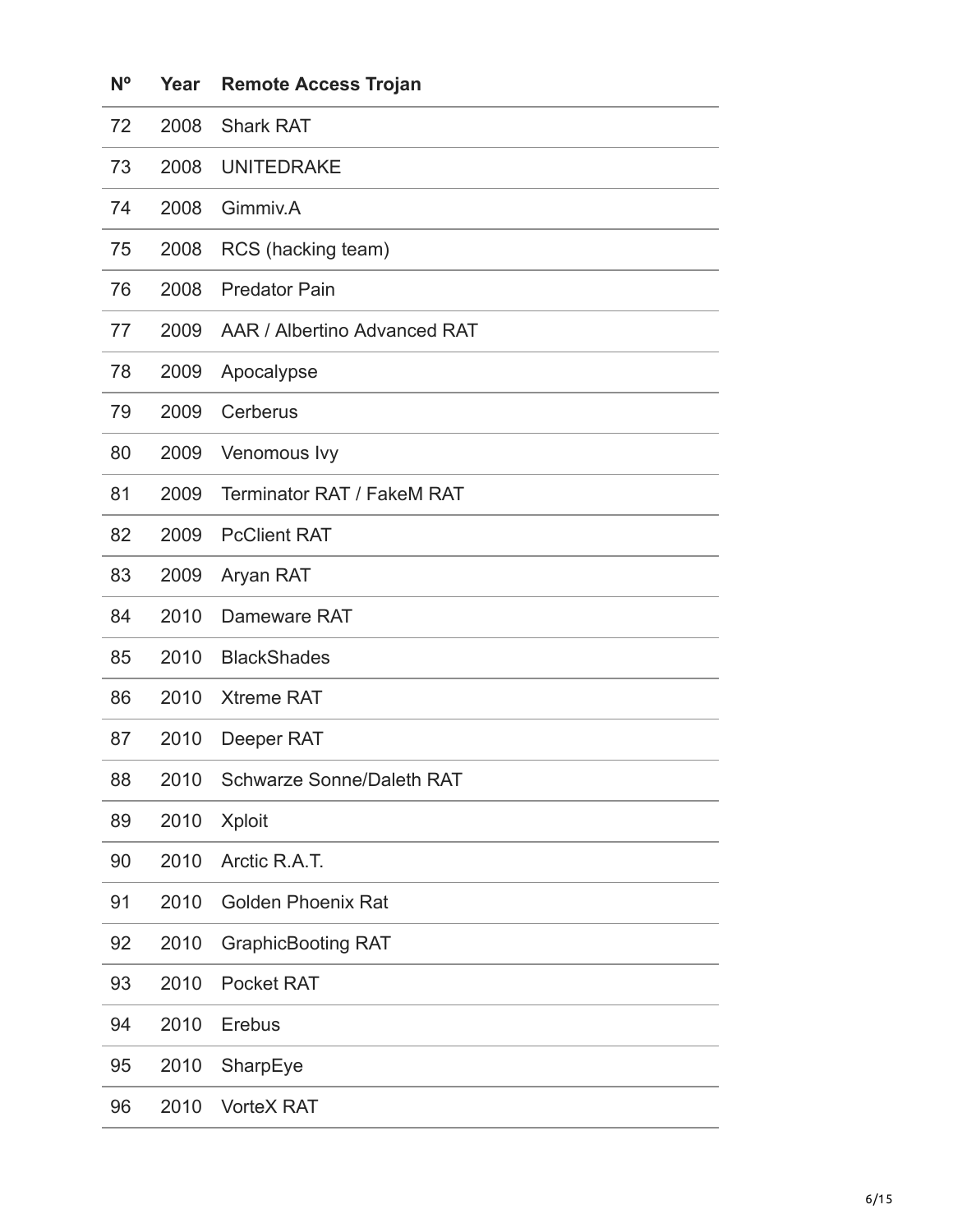| $N^{\circ}$ | Year | <b>Remote Access Trojan</b>      |
|-------------|------|----------------------------------|
| 72          | 2008 | <b>Shark RAT</b>                 |
| 73          | 2008 | <b>UNITEDRAKE</b>                |
| 74          | 2008 | Gimmiv.A                         |
| 75          | 2008 | RCS (hacking team)               |
| 76          | 2008 | <b>Predator Pain</b>             |
| 77          | 2009 | AAR / Albertino Advanced RAT     |
| 78          | 2009 | Apocalypse                       |
| 79          | 2009 | Cerberus                         |
| 80          | 2009 | Venomous Ivy                     |
| 81          | 2009 | Terminator RAT / FakeM RAT       |
| 82          | 2009 | <b>PcClient RAT</b>              |
| 83          | 2009 | Aryan RAT                        |
| 84          | 2010 | Dameware RAT                     |
| 85          | 2010 | <b>BlackShades</b>               |
| 86          | 2010 | <b>Xtreme RAT</b>                |
| 87          | 2010 | Deeper RAT                       |
| 88          | 2010 | <b>Schwarze Sonne/Daleth RAT</b> |
| 89          | 2010 | <b>Xploit</b>                    |
| 90          | 2010 | Arctic R.A.T.                    |
| 91          | 2010 | <b>Golden Phoenix Rat</b>        |
| 92          | 2010 | <b>GraphicBooting RAT</b>        |
| 93          | 2010 | <b>Pocket RAT</b>                |
| 94          | 2010 | Erebus                           |
| 95          | 2010 | SharpEye                         |
| 96          | 2010 | <b>VorteX RAT</b>                |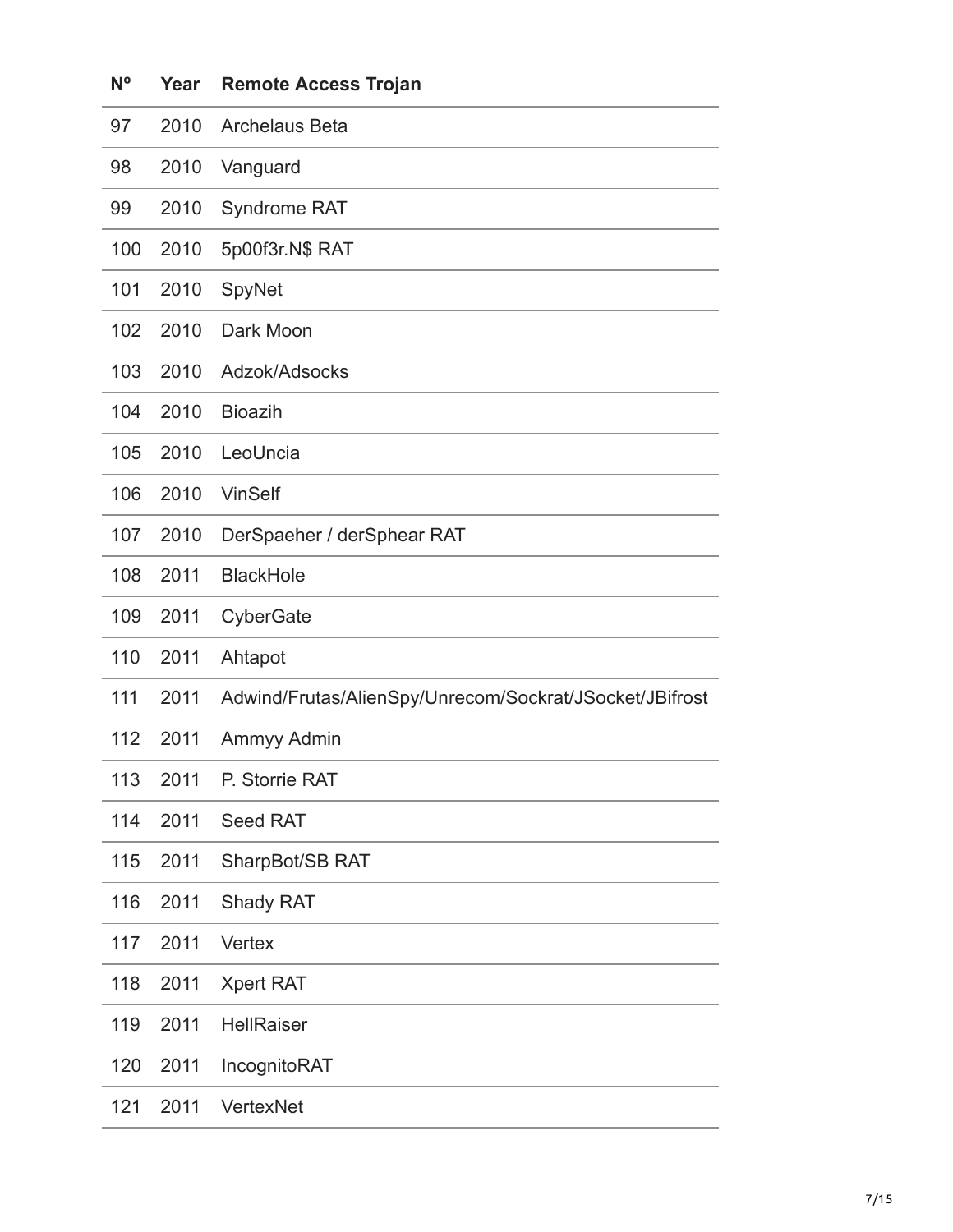| $N^{\circ}$ | Year | <b>Remote Access Trojan</b>                             |
|-------------|------|---------------------------------------------------------|
| 97          | 2010 | <b>Archelaus Beta</b>                                   |
| 98          | 2010 | Vanguard                                                |
| 99          | 2010 | Syndrome RAT                                            |
| 100         | 2010 | 5p00f3r.N\$ RAT                                         |
| 101         | 2010 | SpyNet                                                  |
| 102         | 2010 | Dark Moon                                               |
| 103         | 2010 | Adzok/Adsocks                                           |
| 104         | 2010 | <b>Bioazih</b>                                          |
| 105         | 2010 | LeoUncia                                                |
| 106         | 2010 | <b>VinSelf</b>                                          |
| 107         | 2010 | DerSpaeher / derSphear RAT                              |
| 108         | 2011 | <b>BlackHole</b>                                        |
| 109         | 2011 | CyberGate                                               |
| 110         | 2011 | Ahtapot                                                 |
| 111         | 2011 | Adwind/Frutas/AlienSpy/Unrecom/Sockrat/JSocket/JBifrost |
| 112         | 2011 | Ammyy Admin                                             |
| 113         | 2011 | P. Storrie RAT                                          |
| 114         | 2011 | Seed RAT                                                |
| 115         | 2011 | SharpBot/SB RAT                                         |
| 116         | 2011 | Shady RAT                                               |
| 117         | 2011 | <b>Vertex</b>                                           |
| 118         | 2011 | <b>Xpert RAT</b>                                        |
| 119         | 2011 | <b>HellRaiser</b>                                       |
| 120         | 2011 | IncognitoRAT                                            |
| 121         | 2011 | VertexNet                                               |
|             |      |                                                         |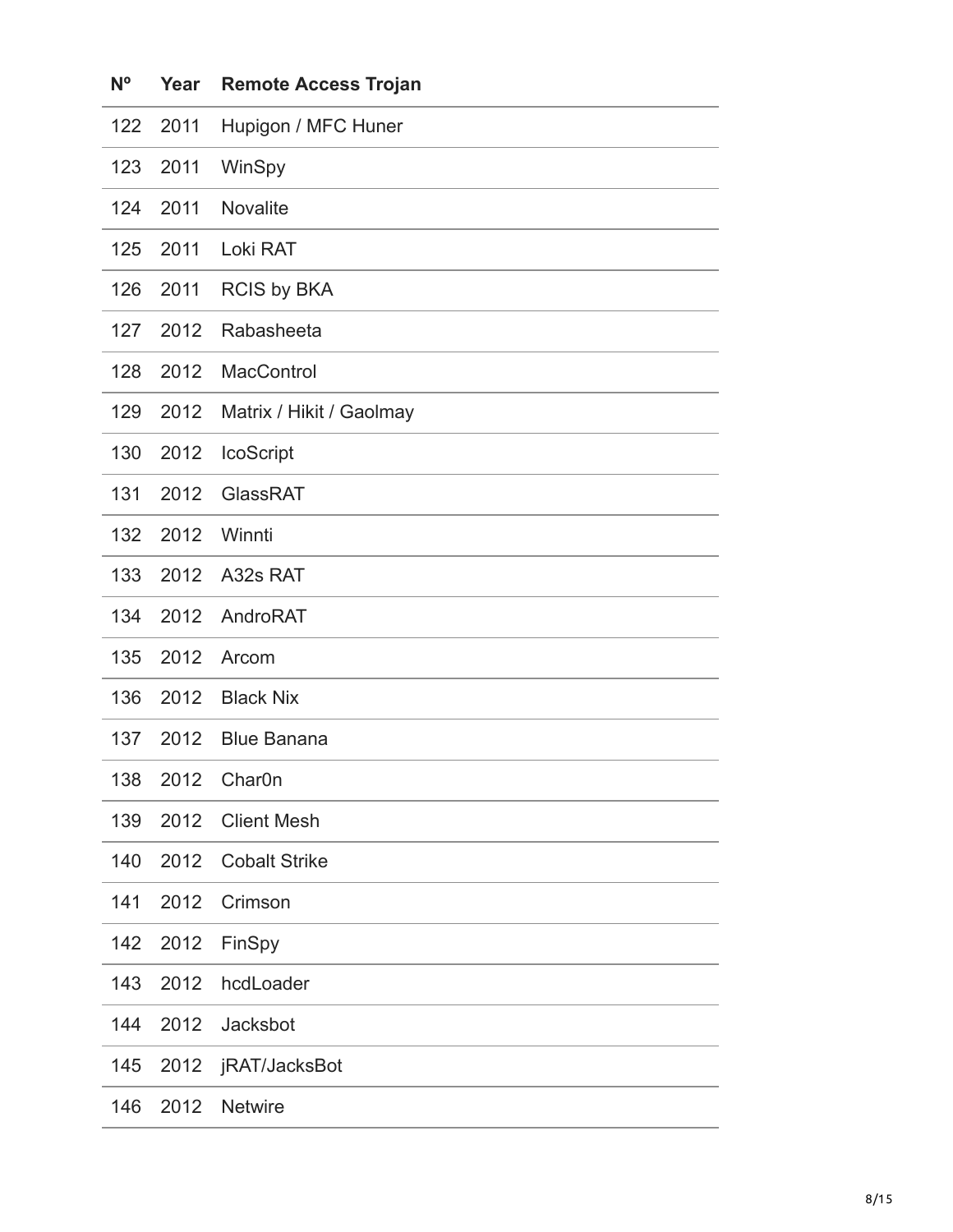| $N^{\circ}$ | Year | <b>Remote Access Trojan</b> |
|-------------|------|-----------------------------|
| 122         | 2011 | Hupigon / MFC Huner         |
| 123         | 2011 | WinSpy                      |
| 124         | 2011 | <b>Novalite</b>             |
| 125         | 2011 | Loki RAT                    |
| 126         | 2011 | <b>RCIS by BKA</b>          |
| 127         | 2012 | Rabasheeta                  |
| 128         | 2012 | MacControl                  |
| 129         | 2012 | Matrix / Hikit / Gaolmay    |
| 130         | 2012 | IcoScript                   |
| 131         | 2012 | GlassRAT                    |
| 132         | 2012 | Winnti                      |
| 133         | 2012 | A32s RAT                    |
| 134         | 2012 | AndroRAT                    |
| 135         | 2012 | Arcom                       |
| 136         | 2012 | <b>Black Nix</b>            |
| 137         | 2012 | <b>Blue Banana</b>          |
| 138         | 2012 | Char <sub>0</sub> n         |
| 139         | 2012 | <b>Client Mesh</b>          |
| 140         | 2012 | <b>Cobalt Strike</b>        |
| 141         | 2012 | Crimson                     |
| 142         | 2012 | FinSpy                      |
| 143         | 2012 | hcdLoader                   |
| 144         | 2012 | Jacksbot                    |
| 145         | 2012 | jRAT/JacksBot               |
| 146         | 2012 | <b>Netwire</b>              |
|             |      |                             |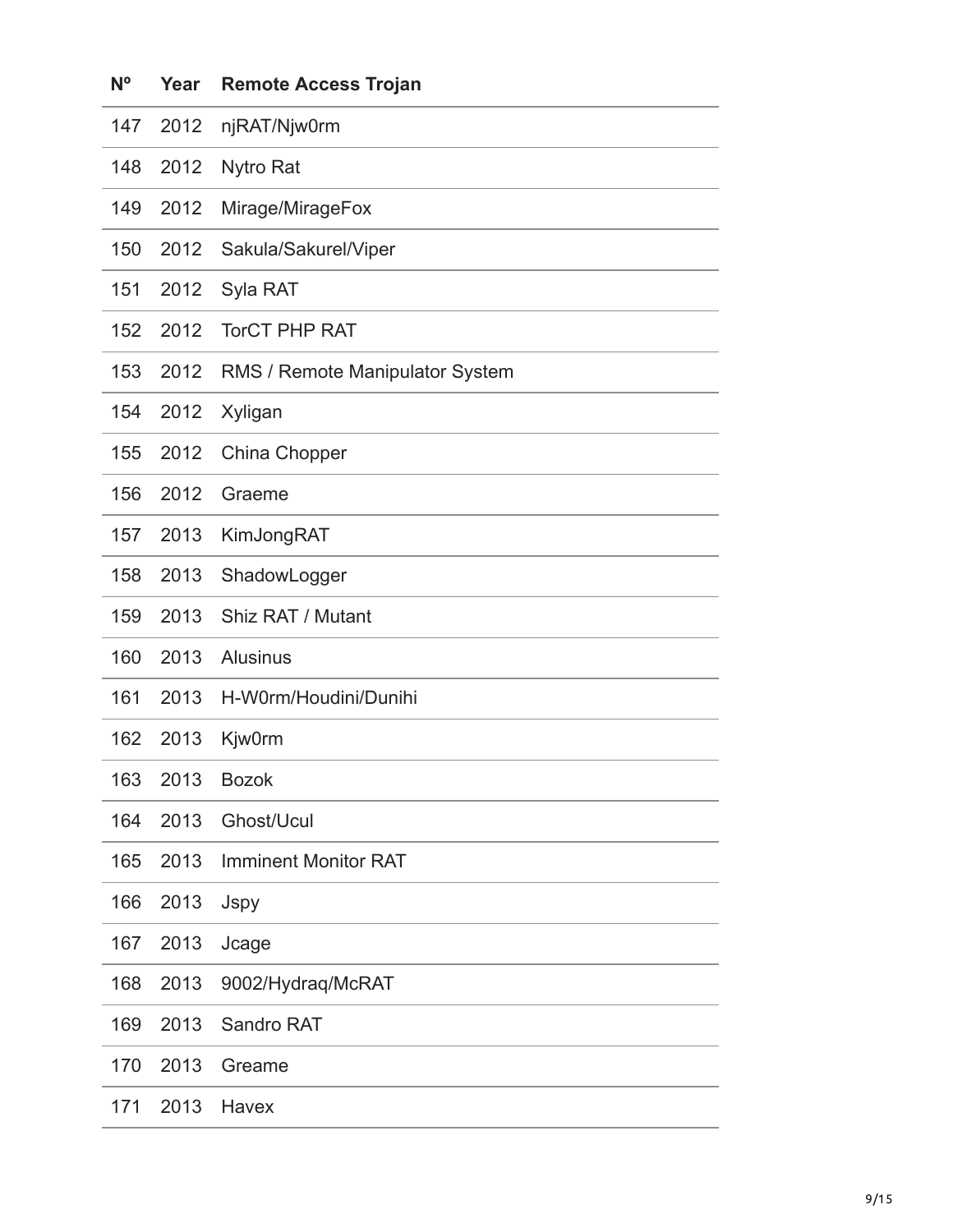| N <sup>o</sup> | Year | <b>Remote Access Trojan</b>     |
|----------------|------|---------------------------------|
| 147            | 2012 | njRAT/Njw0rm                    |
| 148            | 2012 | <b>Nytro Rat</b>                |
| 149            | 2012 | Mirage/MirageFox                |
| 150            | 2012 | Sakula/Sakurel/Viper            |
| 151            | 2012 | Syla RAT                        |
| 152            | 2012 | <b>TorCT PHP RAT</b>            |
| 153            | 2012 | RMS / Remote Manipulator System |
| 154            | 2012 | Xyligan                         |
| 155            | 2012 | China Chopper                   |
| 156            | 2012 | Graeme                          |
| 157            | 2013 | KimJongRAT                      |
| 158            | 2013 | ShadowLogger                    |
| 159            | 2013 | Shiz RAT / Mutant               |
| 160            | 2013 | <b>Alusinus</b>                 |
| 161            | 2013 | H-W0rm/Houdini/Dunihi           |
| 162            | 2013 | <b>Kjw0rm</b>                   |
| 163            | 2013 | <b>Bozok</b>                    |
| 164            | 2013 | Ghost/Ucul                      |
| 165            | 2013 | <b>Imminent Monitor RAT</b>     |
| 166            | 2013 | Jspy                            |
| 167            | 2013 | Jcage                           |
| 168            | 2013 | 9002/Hydraq/McRAT               |
| 169            | 2013 | Sandro RAT                      |
| 170            | 2013 | Greame                          |
| 171            | 2013 | Havex                           |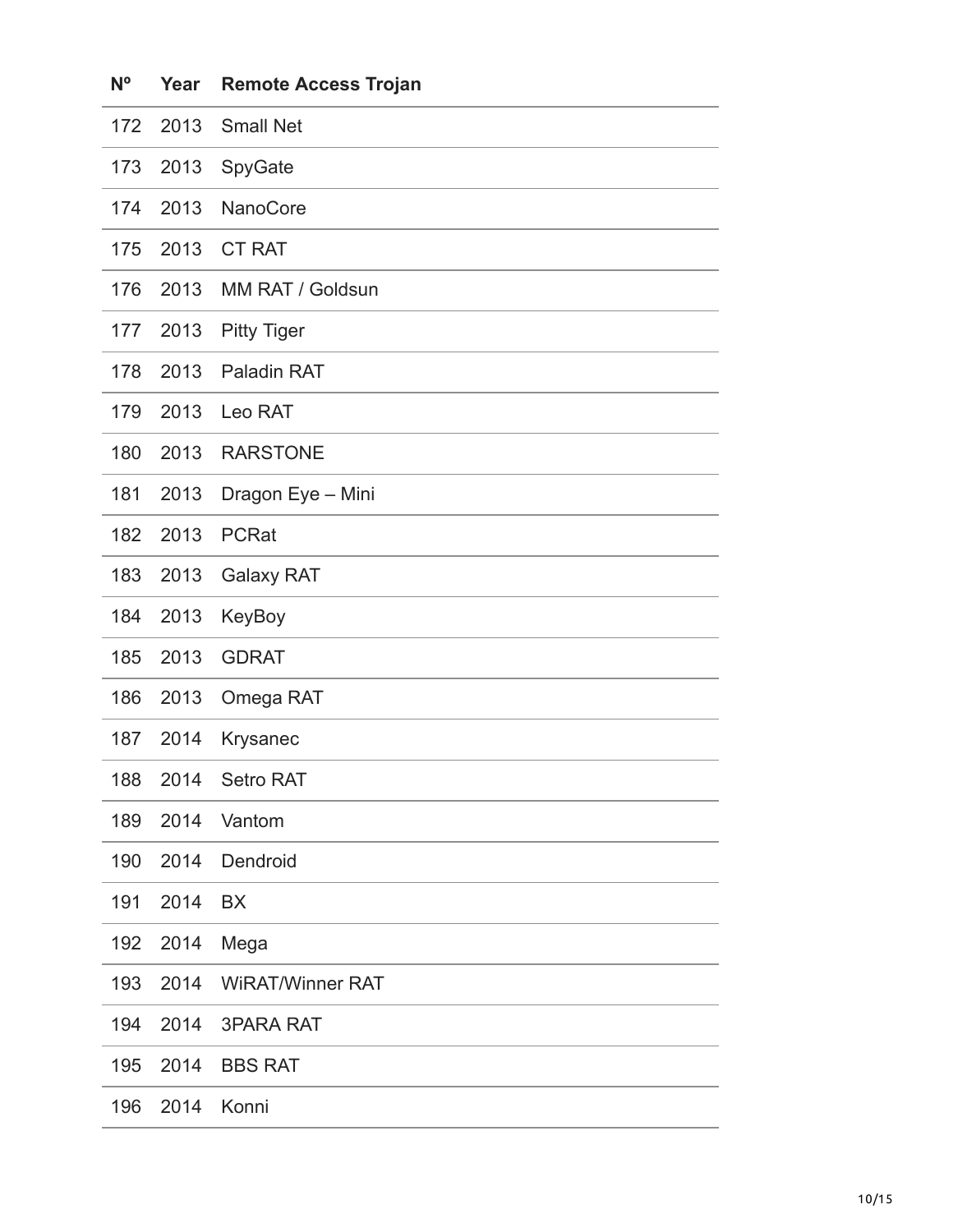| N <sup>o</sup> | Year | <b>Remote Access Trojan</b> |
|----------------|------|-----------------------------|
| 172            | 2013 | <b>Small Net</b>            |
| 173            | 2013 | SpyGate                     |
| 174            | 2013 | NanoCore                    |
| 175            | 2013 | <b>CT RAT</b>               |
| 176            | 2013 | MM RAT / Goldsun            |
| 177            | 2013 | <b>Pitty Tiger</b>          |
| 178            | 2013 | Paladin RAT                 |
| 179            | 2013 | Leo RAT                     |
| 180            | 2013 | <b>RARSTONE</b>             |
| 181            | 2013 | Dragon Eye - Mini           |
| 182            | 2013 | <b>PCRat</b>                |
| 183            | 2013 | <b>Galaxy RAT</b>           |
| 184            | 2013 | KeyBoy                      |
| 185            | 2013 | <b>GDRAT</b>                |
| 186            | 2013 | Omega RAT                   |
| 187            | 2014 | Krysanec                    |
| 188            | 2014 | Setro RAT                   |
| 189            | 2014 | Vantom                      |
| 190            | 2014 | Dendroid                    |
| 191            | 2014 | <b>BX</b>                   |
| 192            | 2014 | Mega                        |
| 193            | 2014 | <b>WIRAT/Winner RAT</b>     |
| 194            | 2014 | <b>3PARA RAT</b>            |
| 195            | 2014 | <b>BBS RAT</b>              |
| 196            | 2014 | Konni                       |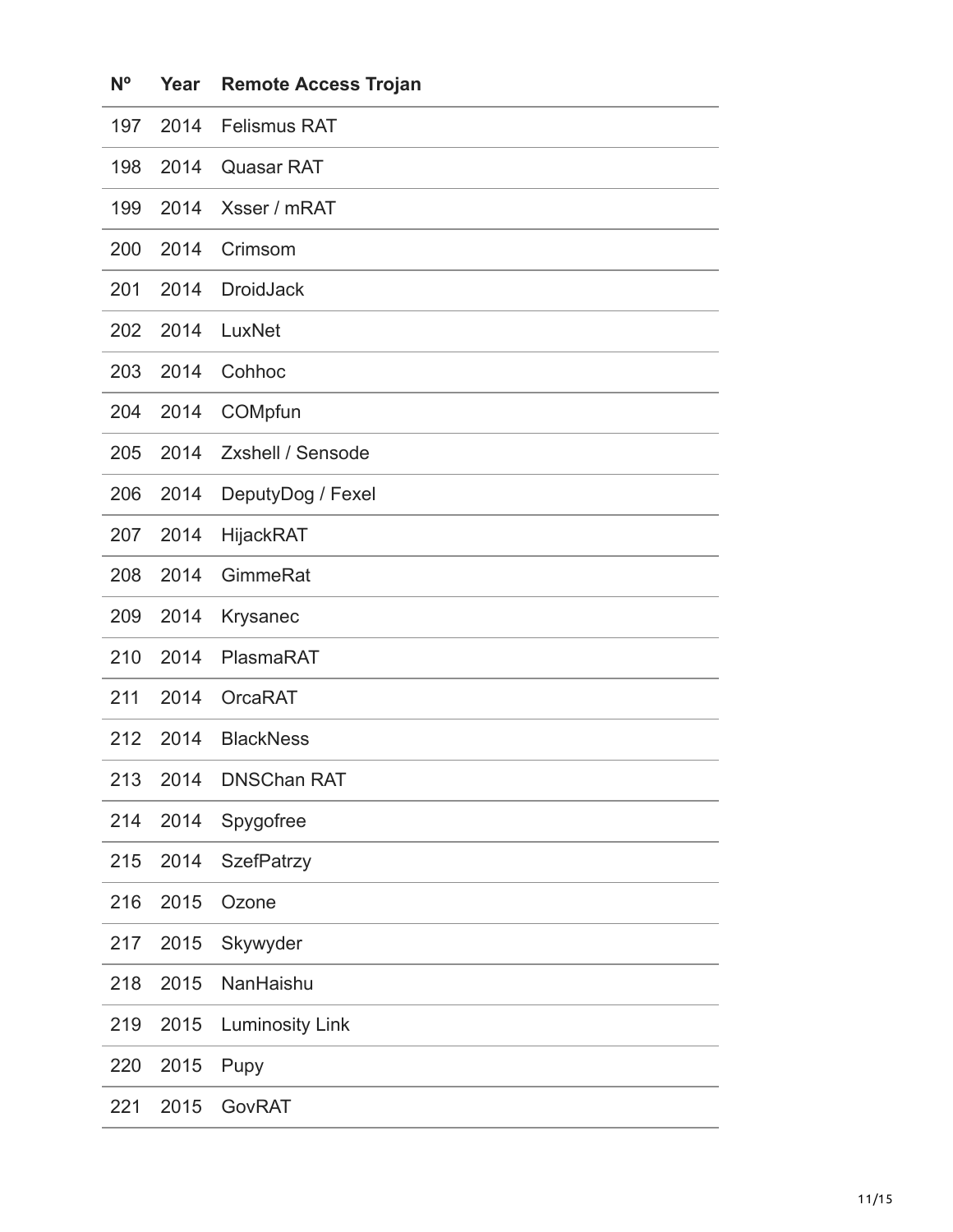| $N^{\circ}$ | Year | <b>Remote Access Trojan</b> |
|-------------|------|-----------------------------|
| 197         | 2014 | <b>Felismus RAT</b>         |
| 198         | 2014 | <b>Quasar RAT</b>           |
| 199         | 2014 | Xsser / mRAT                |
| 200         | 2014 | Crimsom                     |
| 201         | 2014 | <b>DroidJack</b>            |
| 202         | 2014 | LuxNet                      |
| 203         | 2014 | Cohhoc                      |
| 204         | 2014 | COMpfun                     |
| 205         | 2014 | <b>Zxshell / Sensode</b>    |
| 206         | 2014 | DeputyDog / Fexel           |
| 207         | 2014 | <b>HijackRAT</b>            |
| 208         | 2014 | GimmeRat                    |
| 209         | 2014 | Krysanec                    |
| 210         | 2014 | PlasmaRAT                   |
| 211         | 2014 | <b>OrcaRAT</b>              |
| 212         | 2014 | <b>BlackNess</b>            |
| 213         | 2014 | <b>DNSChan RAT</b>          |
| 214         | 2014 | Spygofree                   |
| 215         | 2014 | <b>SzefPatrzy</b>           |
| 216         | 2015 | Ozone                       |
| 217         | 2015 | Skywyder                    |
| 218         | 2015 | NanHaishu                   |
| 219         | 2015 | <b>Luminosity Link</b>      |
| 220         | 2015 | Pupy                        |
| 221         | 2015 | GovRAT                      |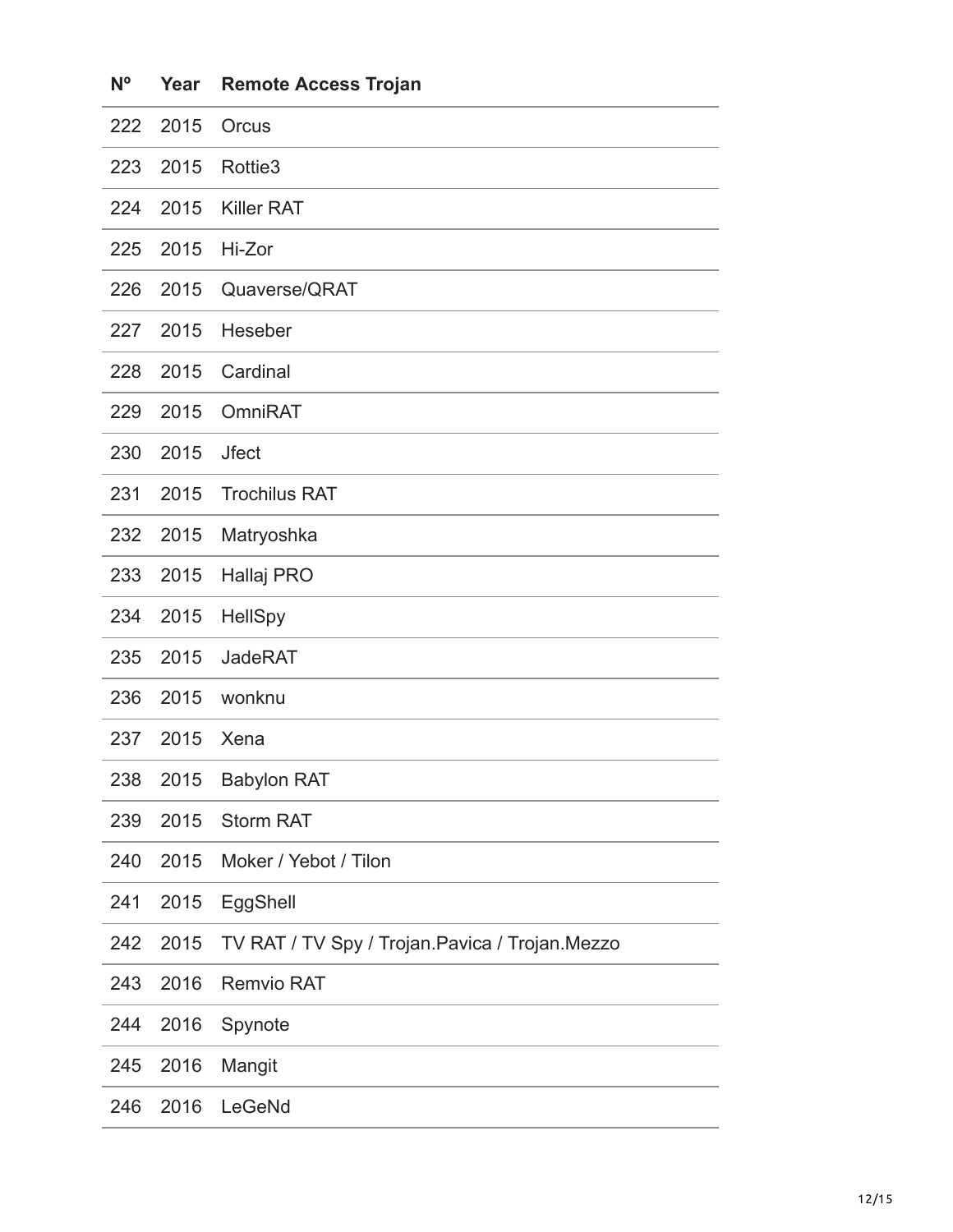| N <sup>o</sup> | Year | <b>Remote Access Trojan</b>                      |
|----------------|------|--------------------------------------------------|
| 222            | 2015 | Orcus                                            |
| 223            | 2015 | Rottie <sub>3</sub>                              |
| 224            | 2015 | <b>Killer RAT</b>                                |
| 225            | 2015 | Hi-Zor                                           |
| 226            | 2015 | Quaverse/QRAT                                    |
| 227            | 2015 | Heseber                                          |
| 228            | 2015 | Cardinal                                         |
| 229            | 2015 | <b>OmniRAT</b>                                   |
| 230            | 2015 | <b>Jfect</b>                                     |
| 231            | 2015 | <b>Trochilus RAT</b>                             |
| 232            | 2015 | Matryoshka                                       |
| 233            | 2015 | Hallaj PRO                                       |
| 234            | 2015 | <b>HellSpy</b>                                   |
| 235            | 2015 | <b>JadeRAT</b>                                   |
| 236            | 2015 | wonknu                                           |
| 237            | 2015 | Xena                                             |
| 238            | 2015 | <b>Babylon RAT</b>                               |
| 239            | 2015 | <b>Storm RAT</b>                                 |
| 240            | 2015 | Moker / Yebot / Tilon                            |
| 241            | 2015 | EggShell                                         |
| 242            | 2015 | TV RAT / TV Spy / Trojan. Pavica / Trojan. Mezzo |
| 243            | 2016 | <b>Remvio RAT</b>                                |
| 244            | 2016 | Spynote                                          |
| 245            | 2016 | Mangit                                           |
| 246            | 2016 | LeGeNd                                           |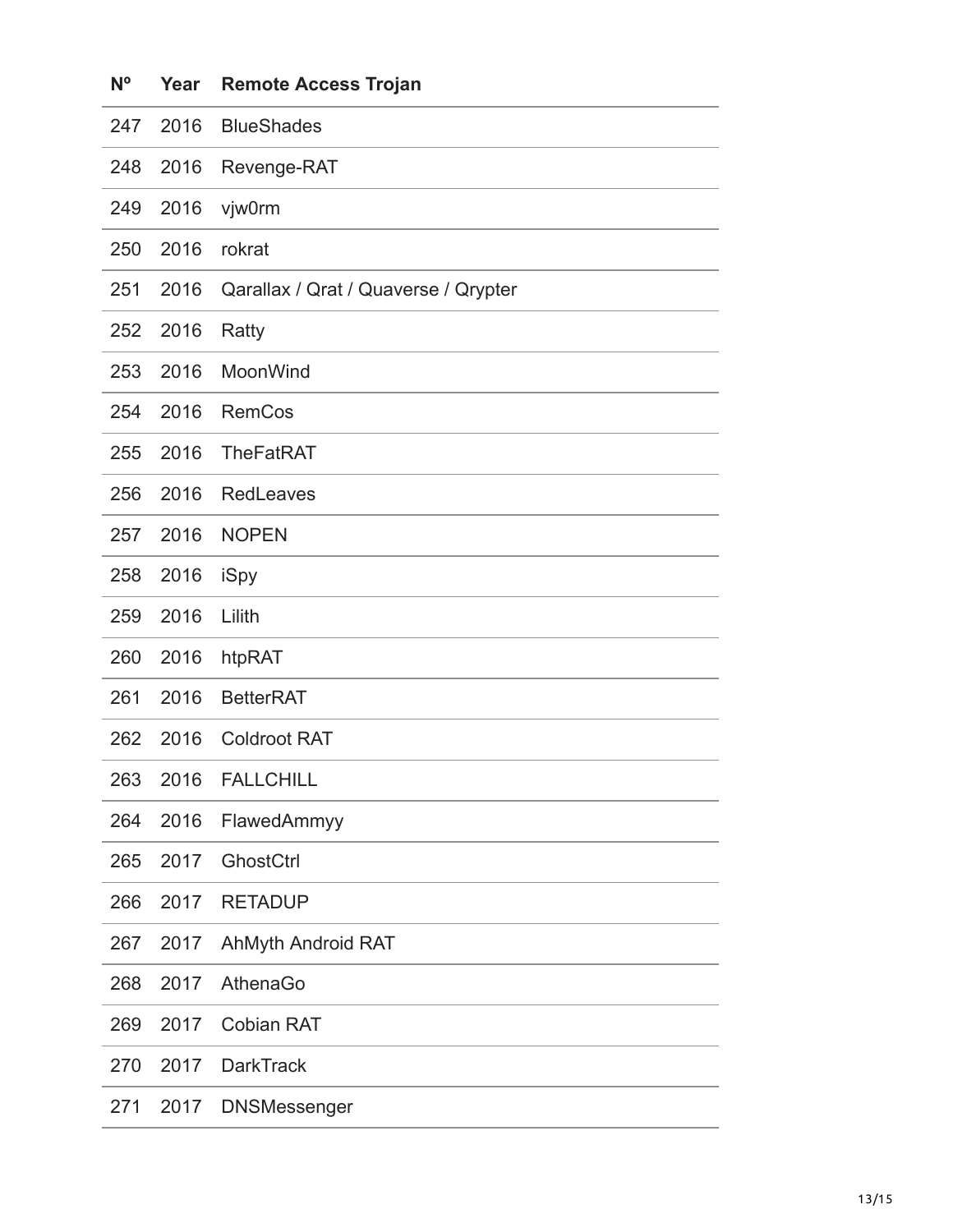| $N^{\circ}$ | Year | <b>Remote Access Trojan</b>          |
|-------------|------|--------------------------------------|
| 247         | 2016 | <b>BlueShades</b>                    |
| 248         | 2016 | Revenge-RAT                          |
| 249         | 2016 | vjw0rm                               |
| 250         | 2016 | rokrat                               |
| 251         | 2016 | Qarallax / Qrat / Quaverse / Qrypter |
| 252         | 2016 | Ratty                                |
| 253         | 2016 | MoonWind                             |
| 254         | 2016 | <b>RemCos</b>                        |
| 255         | 2016 | <b>TheFatRAT</b>                     |
| 256         | 2016 | <b>RedLeaves</b>                     |
| 257         | 2016 | <b>NOPEN</b>                         |
| 258         | 2016 | iSpy                                 |
| 259         | 2016 | Lilith                               |
| 260         | 2016 | htpRAT                               |
| 261         | 2016 | <b>BetterRAT</b>                     |
| 262         | 2016 | <b>Coldroot RAT</b>                  |
| 263         | 2016 | <b>FALLCHILL</b>                     |
| 264         | 2016 | FlawedAmmyy                          |
| 265         | 2017 | GhostCtrl                            |
| 266         | 2017 | <b>RETADUP</b>                       |
| 267         | 2017 | AhMyth Android RAT                   |
| 268         | 2017 | AthenaGo                             |
| 269         | 2017 | <b>Cobian RAT</b>                    |
| 270         | 2017 | <b>DarkTrack</b>                     |
| 271         | 2017 | <b>DNSMessenger</b>                  |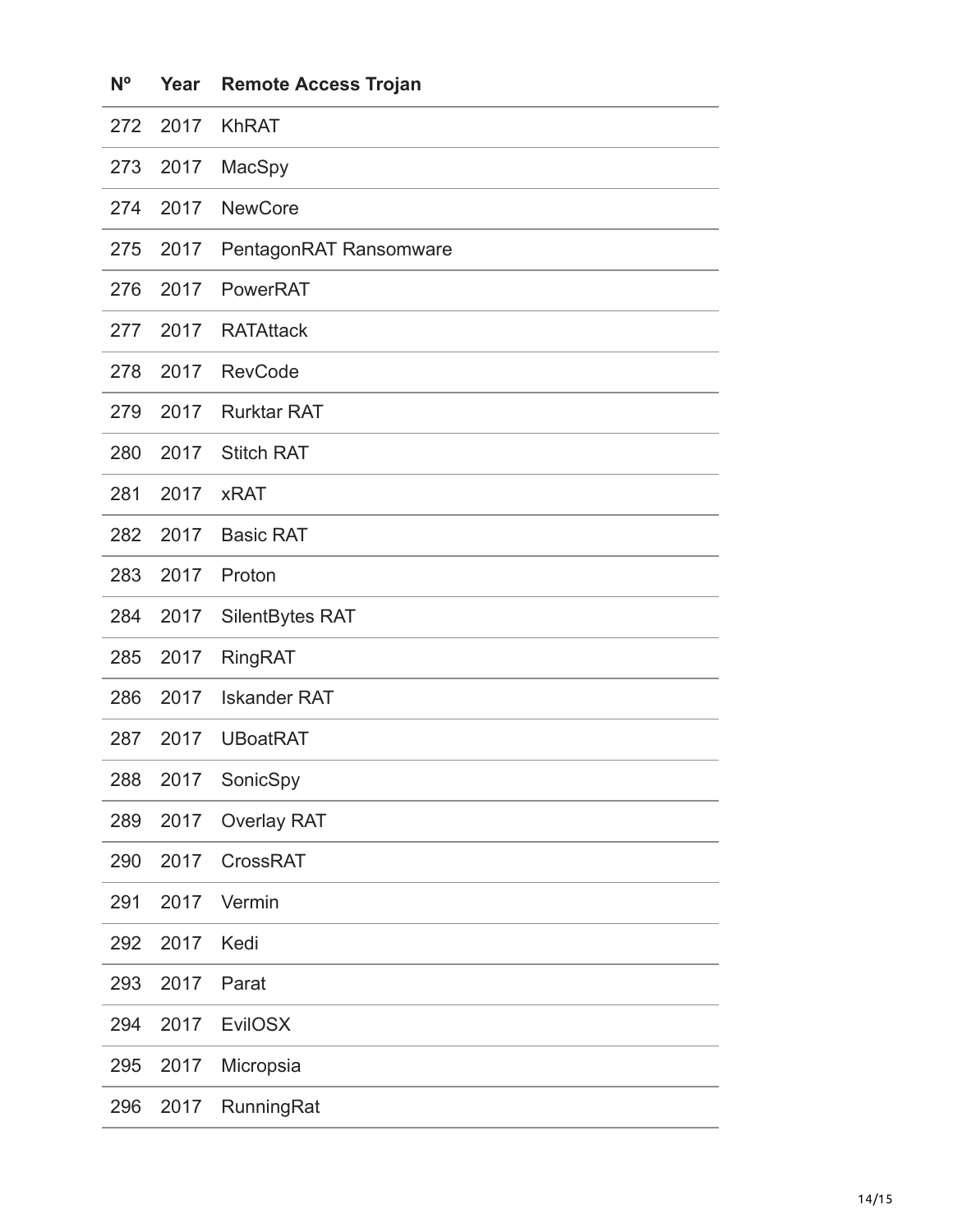| Νĭ  | rear | Remote Access Trojan   |
|-----|------|------------------------|
| 272 | 2017 | <b>KhRAT</b>           |
| 273 | 2017 | MacSpy                 |
| 274 | 2017 | <b>NewCore</b>         |
| 275 | 2017 | PentagonRAT Ransomware |
| 276 | 2017 | PowerRAT               |
| 277 | 2017 | <b>RATAttack</b>       |
| 278 | 2017 | <b>RevCode</b>         |
| 279 | 2017 | <b>Rurktar RAT</b>     |
| 280 | 2017 | <b>Stitch RAT</b>      |
| 281 | 2017 | <b>xRAT</b>            |
| 282 | 2017 | <b>Basic RAT</b>       |
| 283 | 2017 | Proton                 |
| 284 | 2017 | SilentBytes RAT        |
| 285 | 2017 | <b>RingRAT</b>         |
| 286 | 2017 | <b>Iskander RAT</b>    |
| 287 | 2017 | <b>UBoatRAT</b>        |
| 288 | 2017 | SonicSpy               |
| 289 | 2017 | <b>Overlay RAT</b>     |
| 290 | 2017 | CrossRAT               |
| 291 | 2017 | Vermin                 |
| 292 | 2017 | Kedi                   |
| 293 | 2017 | Parat                  |
| 294 | 2017 | <b>EvilOSX</b>         |
| 295 | 2017 | Micropsia              |
| 296 | 2017 | RunningRat             |